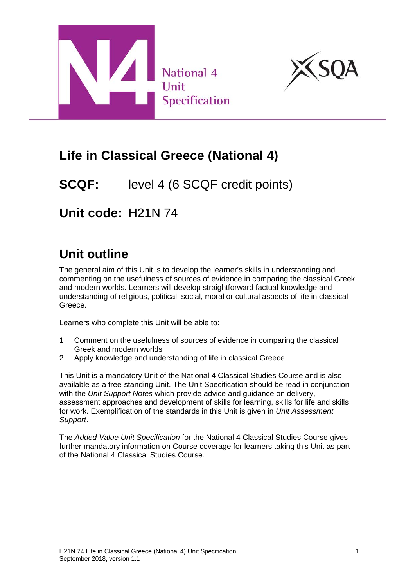



# **Life in Classical Greece (National 4)**

# **SCQF:** level 4 (6 SCQF credit points)

# **Unit code:** H21N 74

# **Unit outline**

The general aim of this Unit is to develop the learner's skills in understanding and commenting on the usefulness of sources of evidence in comparing the classical Greek and modern worlds. Learners will develop straightforward factual knowledge and understanding of religious, political, social, moral or cultural aspects of life in classical Greece.

Learners who complete this Unit will be able to:

- 1 Comment on the usefulness of sources of evidence in comparing the classical Greek and modern worlds
- 2 Apply knowledge and understanding of life in classical Greece

This Unit is a mandatory Unit of the National 4 Classical Studies Course and is also available as a free-standing Unit. The Unit Specification should be read in conjunction with the *Unit Support Notes* which provide advice and guidance on delivery, assessment approaches and development of skills for learning, skills for life and skills for work. Exemplification of the standards in this Unit is given in *Unit Assessment Support*.

The *Added Value Unit Specification* for the National 4 Classical Studies Course gives further mandatory information on Course coverage for learners taking this Unit as part of the National 4 Classical Studies Course.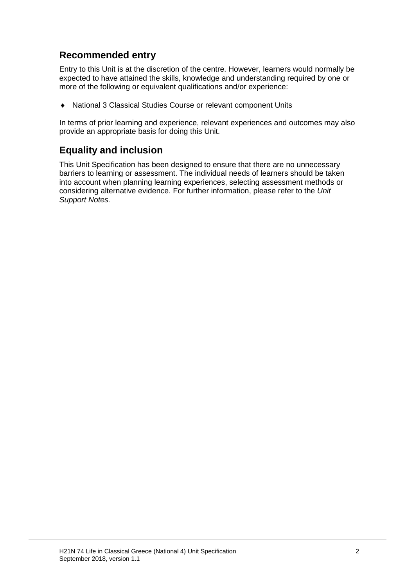## **Recommended entry**

Entry to this Unit is at the discretion of the centre. However, learners would normally be expected to have attained the skills, knowledge and understanding required by one or more of the following or equivalent qualifications and/or experience:

♦ National 3 Classical Studies Course or relevant component Units

In terms of prior learning and experience, relevant experiences and outcomes may also provide an appropriate basis for doing this Unit.

### **Equality and inclusion**

This Unit Specification has been designed to ensure that there are no unnecessary barriers to learning or assessment. The individual needs of learners should be taken into account when planning learning experiences, selecting assessment methods or considering alternative evidence. For further information, please refer to the *Unit Support Notes.*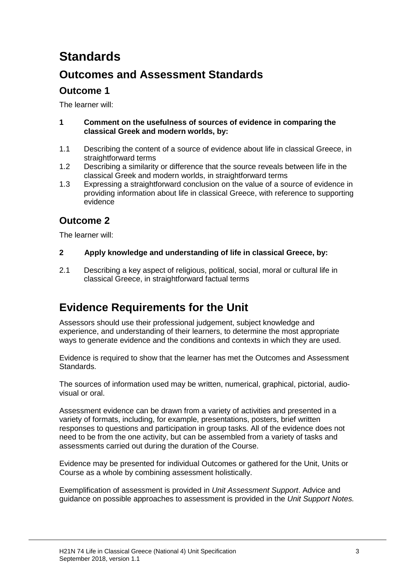# **Standards**

## **Outcomes and Assessment Standards**

### **Outcome 1**

The learner will:

#### **1 Comment on the usefulness of sources of evidence in comparing the classical Greek and modern worlds, by:**

- 1.1 Describing the content of a source of evidence about life in classical Greece, in straightforward terms
- 1.2 Describing a similarity or difference that the source reveals between life in the classical Greek and modern worlds, in straightforward terms
- 1.3 Expressing a straightforward conclusion on the value of a source of evidence in providing information about life in classical Greece, with reference to supporting evidence

## **Outcome 2**

The learner will:

#### **2 Apply knowledge and understanding of life in classical Greece, by:**

2.1 Describing a key aspect of religious, political, social, moral or cultural life in classical Greece, in straightforward factual terms

## **Evidence Requirements for the Unit**

Assessors should use their professional judgement, subject knowledge and experience, and understanding of their learners, to determine the most appropriate ways to generate evidence and the conditions and contexts in which they are used.

Evidence is required to show that the learner has met the Outcomes and Assessment Standards.

The sources of information used may be written, numerical, graphical, pictorial, audiovisual or oral.

Assessment evidence can be drawn from a variety of activities and presented in a variety of formats, including, for example, presentations, posters, brief written responses to questions and participation in group tasks. All of the evidence does not need to be from the one activity, but can be assembled from a variety of tasks and assessments carried out during the duration of the Course.

Evidence may be presented for individual Outcomes or gathered for the Unit, Units or Course as a whole by combining assessment holistically.

Exemplification of assessment is provided in *Unit Assessment Support*. Advice and guidance on possible approaches to assessment is provided in the *Unit Support Notes.*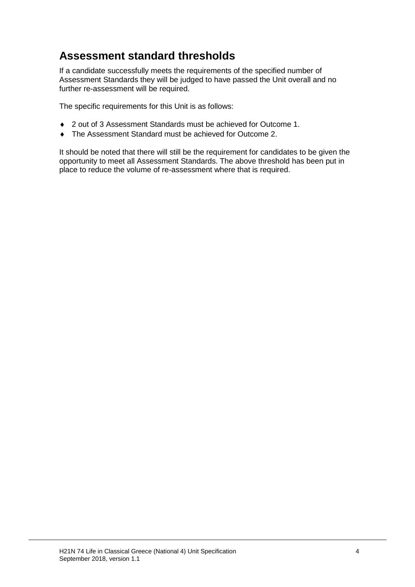## **Assessment standard thresholds**

If a candidate successfully meets the requirements of the specified number of Assessment Standards they will be judged to have passed the Unit overall and no further re-assessment will be required.

The specific requirements for this Unit is as follows:

- ♦ 2 out of 3 Assessment Standards must be achieved for Outcome 1.
- ♦ The Assessment Standard must be achieved for Outcome 2.

It should be noted that there will still be the requirement for candidates to be given the opportunity to meet all Assessment Standards. The above threshold has been put in place to reduce the volume of re-assessment where that is required.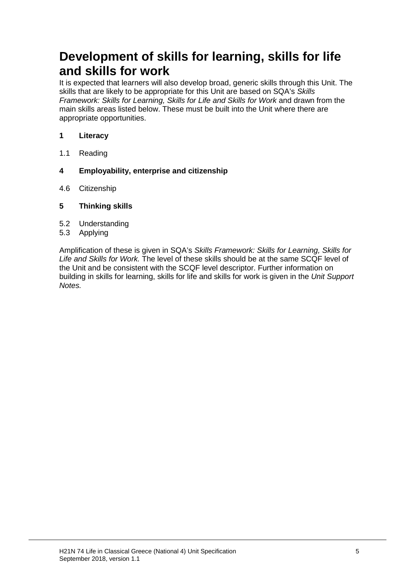# **Development of skills for learning, skills for life and skills for work**

It is expected that learners will also develop broad, generic skills through this Unit. The skills that are likely to be appropriate for this Unit are based on SQA's *Skills Framework: Skills for Learning, Skills for Life and Skills for Work* and drawn from the main skills areas listed below. These must be built into the Unit where there are appropriate opportunities.

#### **1 Literacy**

- 1.1 Reading
- **4 Employability, enterprise and citizenship**
- 4.6 Citizenship
- **5 Thinking skills**
- 5.2 Understanding
- 5.3 Applying

Amplification of these is given in SQA's *Skills Framework: Skills for Learning, Skills for Life and Skills for Work.* The level of these skills should be at the same SCQF level of the Unit and be consistent with the SCQF level descriptor. Further information on building in skills for learning, skills for life and skills for work is given in the *Unit Support Notes.*